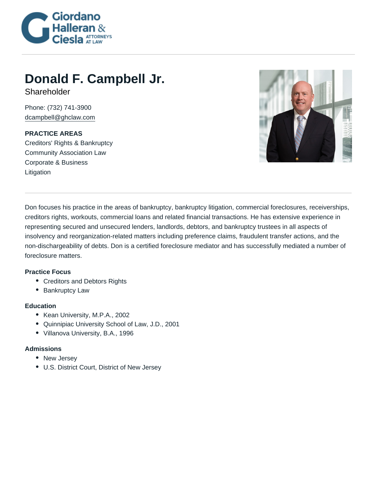

# **Donald F. Campbell Jr.**

**Shareholder** 

Phone: (732) 741-3900 dcampbell@ghclaw.com

**PRACTICE AREAS** Creditors' Rights & Bankruptcy Community Association Law Corporate & Business Litigation



Don focuses his practice in the areas of bankruptcy, bankruptcy litigation, commercial foreclosures, receiverships, creditors rights, workouts, commercial loans and related financial transactions. He has extensive experience in representing secured and unsecured lenders, landlords, debtors, and bankruptcy trustees in all aspects of insolvency and reorganization-related matters including preference claims, fraudulent transfer actions, and the non-dischargeability of debts. Don is a certified foreclosure mediator and has successfully mediated a number of foreclosure matters.

#### **Practice Focus**

- Creditors and Debtors Rights
- Bankruptcy Law

#### **Education**

- Kean University, M.P.A., 2002
- Quinnipiac University School of Law, J.D., 2001
- Villanova University, B.A., 1996

## **Admissions**

- New Jersey
- U.S. District Court, District of New Jersey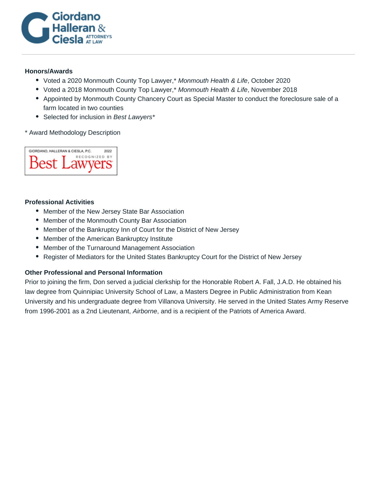

#### **Honors/Awards**

- [Voted a 2020 Monmouth County Top Lawyer,\\*](https://issuu.com/wainscotmedia/docs/monmouth_health_and_life_october_november_2020) Monmouth Health & Life, October 2020
- [Voted a 2018 Monmouth County Top Lawyer,\\*](https://issuu.com/wainscotmedia/docs/monmouth_health___life_nov_18_dig_e) Monmouth Health & Life, November 2018
- [Appointed by Monmouth County Chancery Court as Special Master to conduct the foreclosure sale of a](http://bankruptcyblognj.com/donald-campbell-appointed-special-master-to-conduct-foreclosure-sale-of-a-farm-located-in-two-counties/) [farm located in two counties](http://bankruptcyblognj.com/donald-campbell-appointed-special-master-to-conduct-foreclosure-sale-of-a-farm-located-in-two-counties/)
- Selected for inclusion in Best Lawyers\*
- \* [Award Methodology Description](http://69.63.128.21/65C0C8/assets/files/documents/VARIOUS%20AWARD%20METHODOLOGY%20DESCRIPTIONS.pdf)



#### **Professional Activities**

- Member of the New Jersey State Bar Association
- Member of the Monmouth County Bar Association
- Member of the Bankruptcy Inn of Court for the District of New Jersey
- Member of the American Bankruptcy Institute
- Member of the Turnaround Management Association
- Register of Mediators for the United States Bankruptcy Court for the District of New Jersey

#### **Other Professional and Personal Information**

Prior to joining the firm, Don served a judicial clerkship for the Honorable Robert A. Fall, J.A.D. He obtained his law degree from Quinnipiac University School of Law, a Masters Degree in Public Administration from Kean University and his undergraduate degree from Villanova University. He served in the United States Army Reserve from 1996-2001 as a 2nd Lieutenant, Airborne, and is a recipient of the Patriots of America Award.